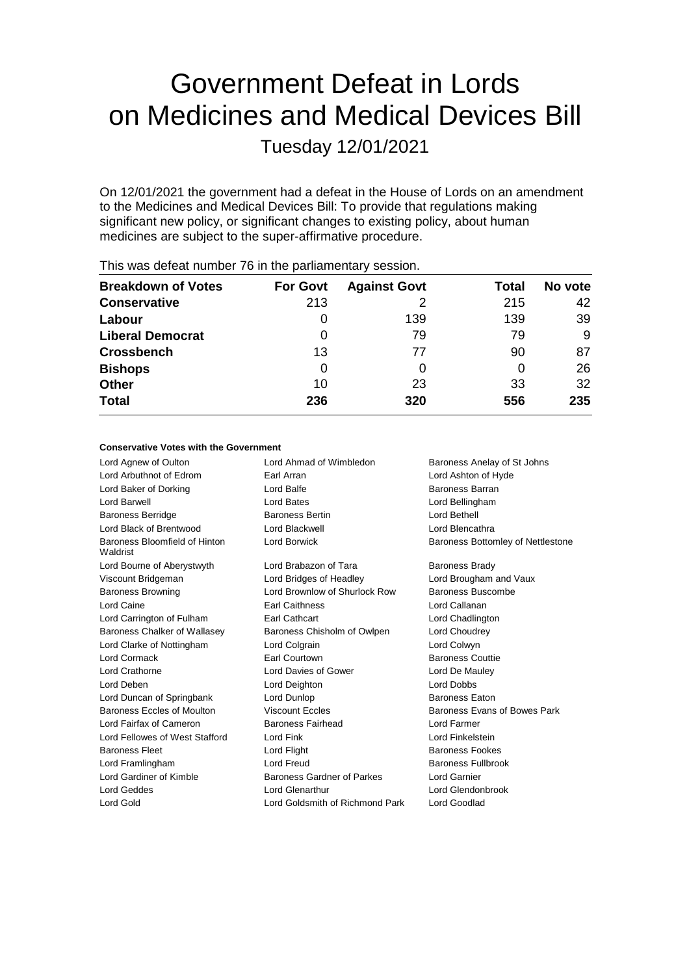# Government Defeat in Lords on Medicines and Medical Devices Bill

Tuesday 12/01/2021

On 12/01/2021 the government had a defeat in the House of Lords on an amendment to the Medicines and Medical Devices Bill: To provide that regulations making significant new policy, or significant changes to existing policy, about human medicines are subject to the super-affirmative procedure.

| <b>Breakdown of Votes</b> | <b>For Govt</b> | <b>Against Govt</b> | Total | No vote |
|---------------------------|-----------------|---------------------|-------|---------|
| <b>Conservative</b>       | 213             |                     | 215   | 42      |
| Labour                    | $\Omega$        | 139                 | 139   | 39      |
| <b>Liberal Democrat</b>   | 0               | 79                  | 79    | 9       |
| <b>Crossbench</b>         | 13              | 77                  | 90    | 87      |
| <b>Bishops</b>            | 0               |                     | 0     | 26      |
| <b>Other</b>              | 10              | 23                  | 33    | 32      |
| <b>Total</b>              | 236             | 320                 | 556   | 235     |
|                           |                 |                     |       |         |

This was defeat number 76 in the parliamentary session.

#### **Conservative Votes with the Government**

| Lord Agnew of Oulton                      | Lord Ahmad of Wimbledon           | Baroness Anelay of St Johns              |  |
|-------------------------------------------|-----------------------------------|------------------------------------------|--|
| Lord Arbuthnot of Edrom                   | Earl Arran                        | Lord Ashton of Hyde                      |  |
| Lord Baker of Dorking                     | Lord Balfe                        | Baroness Barran                          |  |
| Lord Barwell                              | Lord Bates                        | Lord Bellingham                          |  |
| <b>Baroness Berridge</b>                  | <b>Baroness Bertin</b>            | I ord Bethell                            |  |
| Lord Black of Brentwood                   | Lord Blackwell                    | Lord Blencathra                          |  |
| Baroness Bloomfield of Hinton<br>Waldrist | Lord Borwick                      | <b>Baroness Bottomley of Nettlestone</b> |  |
| Lord Bourne of Aberystwyth                | Lord Brabazon of Tara             | <b>Baroness Brady</b>                    |  |
| Viscount Bridgeman                        | Lord Bridges of Headley           | Lord Brougham and Vaux                   |  |
| <b>Baroness Browning</b>                  | Lord Brownlow of Shurlock Row     | Baroness Buscombe                        |  |
| Lord Caine                                | <b>Earl Caithness</b>             | Lord Callanan                            |  |
| Lord Carrington of Fulham                 | Earl Cathcart                     | Lord Chadlington                         |  |
| Baroness Chalker of Wallasey              | Baroness Chisholm of Owlpen       | Lord Choudrey                            |  |
| Lord Clarke of Nottingham                 | Lord Colgrain                     | Lord Colwyn                              |  |
| Lord Cormack                              | Earl Courtown                     | <b>Baroness Couttie</b>                  |  |
| Lord Crathorne                            | Lord Davies of Gower              | Lord De Mauley                           |  |
| Lord Deben                                | Lord Deighton                     | <b>Lord Dobbs</b>                        |  |
| Lord Duncan of Springbank                 | Lord Dunlop                       | <b>Baroness Eaton</b>                    |  |
| Baroness Eccles of Moulton                | <b>Viscount Eccles</b>            | Baroness Evans of Bowes Park             |  |
| Lord Fairfax of Cameron                   | Baroness Fairhead                 | Lord Farmer                              |  |
| Lord Fellowes of West Stafford            | Lord Fink                         | Lord Finkelstein                         |  |
| <b>Baroness Fleet</b>                     | Lord Flight                       | Baroness Fookes                          |  |
| Lord Framlingham                          | Lord Freud                        | Baroness Fullbrook                       |  |
| Lord Gardiner of Kimble                   | <b>Baroness Gardner of Parkes</b> | <b>Lord Garnier</b>                      |  |
| Lord Geddes                               | Lord Glenarthur                   | Lord Glendonbrook                        |  |
| Lord Gold                                 | Lord Goldsmith of Richmond Park   | Lord Goodlad                             |  |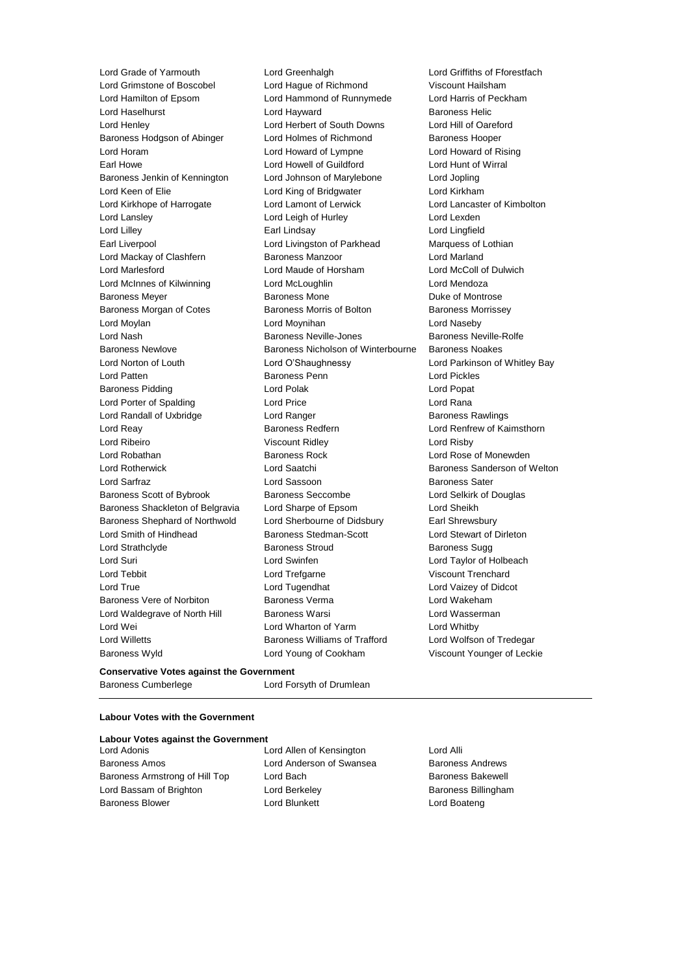Lord Grimstone of Boscobel Lord Hague of Richmond Viscount Hailsham Lord Hamilton of Epsom Lord Hammond of Runnymede Lord Harris of Peckham Lord Haselhurst **Lord Hayward Lord Hayward** Baroness Helic Lord Henley Lord Herbert of South Downs Lord Hill of Oareford Baroness Hodgson of Abinger Lord Holmes of Richmond Baroness Hooper Lord Horam Lord Howard of Lympne Lord Howard of Rising Earl Howe Lord Howell of Guildford Lord Hunt of Wirral Baroness Jenkin of Kennington Lord Johnson of Marylebone Lord Jopling Lord Keen of Elie Lord King of Bridgwater Lord Kirkham Lord Kirkhope of Harrogate Lord Lamont of Lerwick Lord Lancaster of Kimbolton Lord Lansley **Lord Leigh of Hurley** Lord Lexden Lord Lilley Earl Lindsay Lord Lingfield Earl Liverpool Lord Livingston of Parkhead Marquess of Lothian Lord Mackay of Clashfern **Baroness Manzoor Baroness Manzoor** Lord Marland Lord Marlesford Lord Maude of Horsham Lord McColl of Dulwich Lord McInnes of Kilwinning Lord McLoughlin Lord Mendoza Baroness Meyer **Baroness Mone** Baroness Mone **Duke of Montrose** Baroness Morgan of Cotes **Baroness Morris of Bolton** Baroness Morrissey Lord Moylan Lord Moynihan Lord Naseby Lord Nash Baroness Neville-Jones Baroness Neville-Rolfe Baroness Newlove Baroness Nicholson of Winterbourne Baroness Noakes Lord Norton of Louth Lord O'Shaughnessy Lord Parkinson of Whitley Bay Lord Patten Baroness Penn Lord Pickles Baroness Pidding **Lord Polace Contract Contract Lord Polace Contract Contract Contract Contract Contract Contract Contract Contract Contract Contract Contract Contract Contract Contract Contract Contract Contract Contract** Lord Porter of Spalding Lord Price Lord Rana Lord Randall of Uxbridge The Lord Ranger Corp. 2012 Baroness Rawlings Lord Reay **Baroness Redfern Baroness Redfern Lord Renfrew of Kaimsthorn** Lord Ribeiro Viscount Ridley Lord Risby Lord Robathan Baroness Rock Lord Rose of Monewden Lord Rotherwick Lord Saatchi Baroness Sanderson of Welton Lord Sarfraz **Lord Sassoon** Baroness Sater Baroness Scott of Bybrook Baroness Seccombe Lord Selkirk of Douglas Baroness Shackleton of Belgravia Lord Sharpe of Epsom Lord Sheikh Baroness Shephard of Northwold Lord Sherbourne of Didsbury Earl Shrewsbury Lord Smith of Hindhead Baroness Stedman-Scott Lord Stewart of Dirleton Lord Strathclyde **Baroness Stroud** Baroness Stroud Baroness Sugg Lord Suri Lord Swinfen Lord Taylor of Holbeach Lord Tebbit Lord Trefgarne Viscount Trenchard Lord True Lord Tugendhat Lord Vaizey of Didcot Baroness Vere of Norbiton Baroness Verma Lord Wakeham Lord Waldegrave of North Hill Baroness Warsi **Lord Wasserman** Lord Wei **Lord Wharton of Yarm** Cord Whatby Lord Whitby Lord Willetts Baroness Williams of Trafford Lord Wolfson of Tredegar Baroness Wyld Lord Young of Cookham Viscount Younger of Leckie

Lord Grade of Yarmouth Lord Greenhalgh Lord Griffiths of Fforestfach

#### **Conservative Votes against the Government**

Baroness Cumberlege Lord Forsyth of Drumlean

# **Labour Votes with the Government**

#### **Labour Votes against the Government**

Lord Adonis Lord Allen of Kensington Lord Alli Baroness Amos **Lord Anderson of Swansea** Baroness Andrews Baroness Armstrong of Hill Top Lord Bach Baroness Bakewell Lord Bassam of Brighton **Lord Berkeley Communist Baroness Billingham** Baroness Blower **Lord Blunkett** Lord Boateng Lord Boateng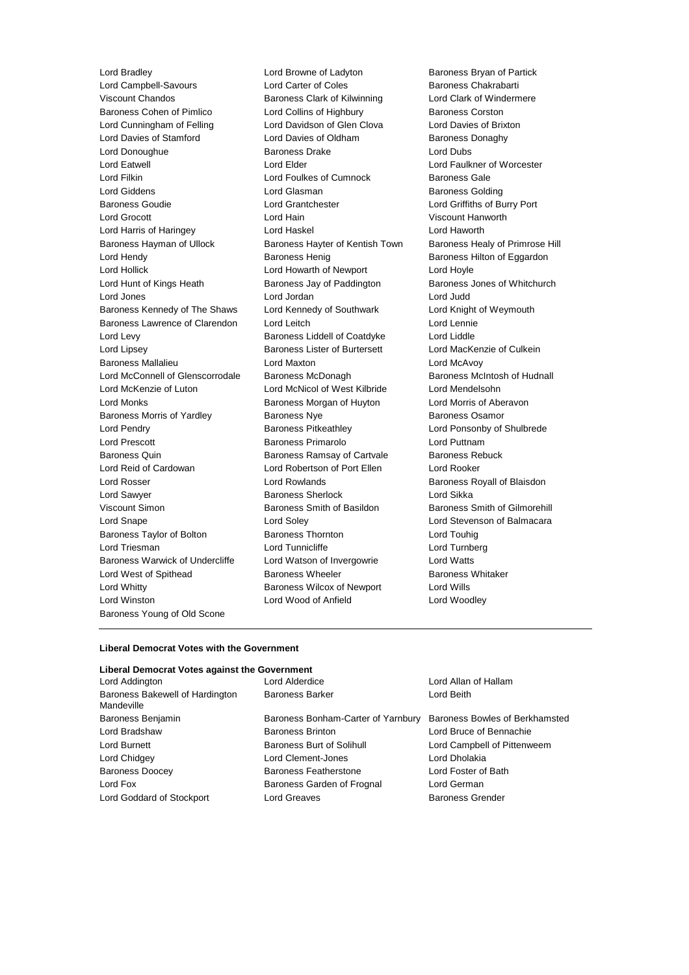Lord Bradley **Lord Browne of Ladyton** Baroness Bryan of Partick Lord Campbell-Savours **Lord Carter of Coles** Baroness Chakrabarti Viscount Chandos Baroness Clark of Kilwinning Lord Clark of Windermere Baroness Cohen of Pimlico Lord Collins of Highbury Baroness Corston Lord Cunningham of Felling Lord Davidson of Glen Clova Lord Davies of Brixton Lord Davies of Stamford **Lord Davies of Oldham** Baroness Donaghy Lord Donoughue Baroness Drake Lord Dubs Lord Eatwell Lord Elder Lord Faulkner of Worcester Lord Filkin **Lord Foulkes of Cumnock** Baroness Gale Lord Giddens Lord Glasman Baroness Golding Baroness Goudie Lord Grantchester Lord Griffiths of Burry Port Lord Grocott Lord Hain Viscount Hanworth Lord Harris of Haringey Lord Haskel Lord Haworth Baroness Hayman of Ullock Baroness Hayter of Kentish Town Baroness Healy of Primrose Hill Lord Hendy **Baroness Henig** Baroness Henig Baroness Hilton of Eggardon Lord Hollick Lord Howarth of Newport Lord Hoyle Lord Hunt of Kings Heath Baroness Jay of Paddington Baroness Jones of Whitchurch Lord Jones Lord Jordan Lord Judd Baroness Kennedy of The Shaws Lord Kennedy of Southwark Lord Knight of Weymouth Baroness Lawrence of Clarendon Lord Leitch Lord Lennie Lord Levy **Baroness Liddell of Coatdyke** Lord Liddle Lord Lipsey **Baroness Lister of Burtersett** Lord MacKenzie of Culkein Baroness Mallalieu Lord Maxton Lord McAvoy Lord McConnell of Glenscorrodale Baroness McDonagh Baroness Mc Baroness McIntosh of Hudnall Lord McKenzie of Luton Lord McNicol of West Kilbride Lord Mendelsohn Lord Monks Baroness Morgan of Huyton Lord Morris of Aberavon Baroness Morris of Yardley **Baroness Nye Communist Communist Communist Communist Communist Communist Communist Communist Communist Communist Communist Communist Communist Communist Communist Communist Communist Communist C** Lord Pendry **Baroness Pitkeathley Lord Ponsonby of Shulbrede** Lord Ponsonby of Shulbrede Lord Prescott **Baroness Primarolo** Lord Puttnam Baroness Quin **Baroness Ramsay of Cartvale** Baroness Rebuck Lord Reid of Cardowan Lord Robertson of Port Ellen Lord Rooker Lord Rosser **Lord Rowlands Baroness Royall of Blaisdon** Lord Sawyer Baroness Sherlock Lord Sikka Viscount Simon **Baroness Smith of Basildon** Baroness Smith of Gilmorehill Lord Snape Lord Soley Lord Stevenson of Balmacara Baroness Taylor of Bolton Baroness Thornton Lord Touhig Lord Triesman **Lord Tunnicliffe** Lord Tunnicliffe **Lord Turnberg** Baroness Warwick of Undercliffe Lord Watson of Invergowrie Lord Watts Lord West of Spithead **Baroness Wheeler** Baroness Wheeler **Baroness Whitaker** Lord Whitty Baroness Wilcox of Newport Lord Wills Lord Winston Lord Wood of Anfield Lord Woodley Baroness Young of Old Scone

#### **Liberal Democrat Votes with the Government**

### **Liberal Democrat Votes against the Government**

| Lord Addington                                |
|-----------------------------------------------|
| Baroness Bakewell of Hardington<br>Mandeville |
| Baroness Benjamin                             |
| Lord Bradshaw                                 |
| Lord Burnett                                  |
| Lord Chidgey                                  |
| <b>Baroness Doocey</b>                        |
| Lord Fox                                      |
| Lord Goddard of Stockport                     |

Baroness Bonham-Carter of Yarnbury Baroness Bowles of Berkhamsted Baroness Brinton **Baroness Brinton** Lord Bruce of Bennachie Baroness Burt of Solihull Lord Campbell of Pittenweem Lord Clement-Jones Lord Dholakia Baroness Featherstone **Lord Foster of Bath** Baroness Garden of Frognal Lord German Lord Greaves **Baroness Grender** 

Lord Alderdice **Lord Allan of Hallam** Baroness Barker Lord Beith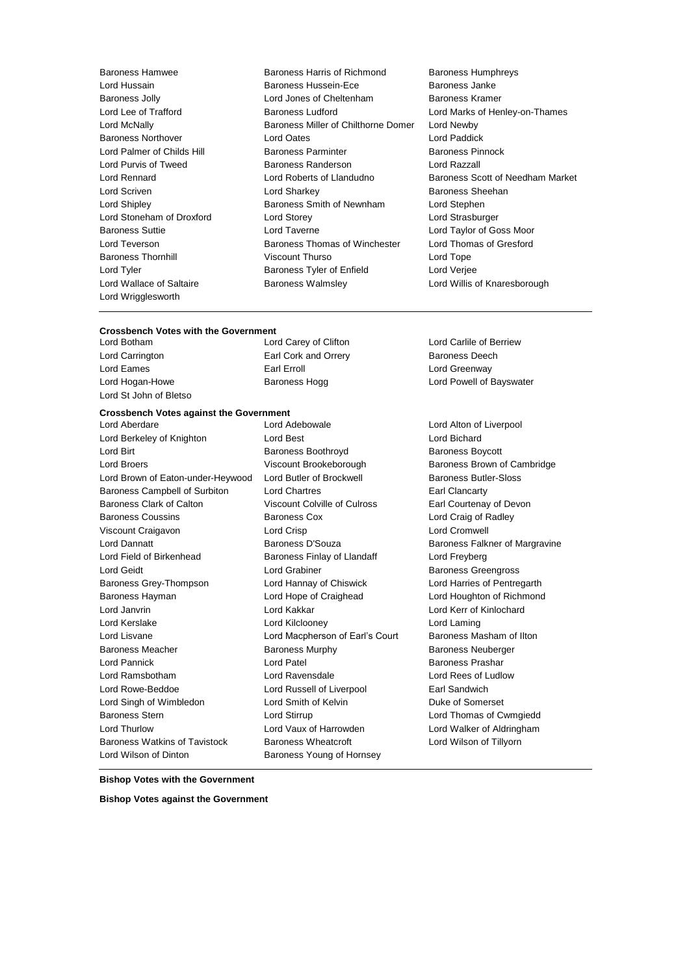Lord Wrigglesworth

Baroness Hamwee Baroness Harris of Richmond Baroness Humphreys Lord Hussain Baroness Hussein-Ece Baroness Janke Baroness Jolly Lord Jones of Cheltenham Baroness Kramer Lord Lee of Trafford **Baroness Ludford** Lord Marks of Henley-on-Thames Lord McNally Baroness Miller of Chilthorne Domer Lord Newby Baroness Northover Lord Oates Lord Paddick Lord Palmer of Childs Hill Baroness Parminter Baroness Pinnock Lord Purvis of Tweed Baroness Randerson Lord Razzall Lord Rennard Lord Roberts of Llandudno Baroness Scott of Needham Market Lord Scriven **Lord Sharkey Constant Constant Lord Sharkey Baroness Sheehan** Lord Shipley **Baroness Smith of Newnham** Lord Stephen Lord Stoneham of Droxford Lord Storey Lord Strasburger Baroness Suttie Lord Taverne Lord Taylor of Goss Moor Lord Teverson **Baroness Thomas of Winchester** Lord Thomas of Gresford Baroness Thornhill Viscount Thurso Lord Tope Lord Tyler **Baroness Tyler of Enfield** Lord Verjee Lord Wallace of Saltaire Baroness Walmsley Lord Willis of Knaresborough

#### **Crossbench Votes with the Government**

Lord Carrington Earl Cork and Orrery Baroness Deech Lord Eames **Earl Erroll** Earl Erroll **Example 20** Lord Greenway Lord St John of Bletso

Lord Botham Lord Carey of Clifton Lord Carlile of Berriew

# **Crossbench Votes against the Government**

Lord Berkeley of Knighton Lord Best Lord Bichard Lord Bichard Lord Birt **Baroness Boothroyd** Baroness Boothroyd Baroness Boycott Lord Broers **Example 2** Viscount Brookeborough Baroness Brown of Cambridge Lord Brown of Eaton-under-Heywood Lord Butler of Brockwell Baroness Butler-Sloss Baroness Campbell of Surbiton Lord Chartres Earl Clancarty Baroness Clark of Calton Viscount Colville of Culross Earl Courtenay of Devon Baroness Coussins Baroness Cox Lord Craig of Radley Viscount Craigavon Lord Crisp Lord Cromwell Lord Dannatt **Baroness D'Souza** Baroness D'Souza Baroness Falkner of Margravine Lord Field of Birkenhead Baroness Finlay of Llandaff Cord Freyberg Lord Geidt **Lord Grabiner Lord Grabiner Baroness Greengross** Baroness Grey-Thompson Lord Hannay of Chiswick Lord Harries of Pentregarth Baroness Hayman Lord Hope of Craighead Lord Houghton of Richmond Lord Janvrin Lord Kakkar Lord Kerr of Kinlochard Lord Kerslake Lord Kilclooney Lord Laming Lord Lisvane Lord Macpherson of Earl's Court Baroness Masham of Ilton Baroness Meacher **Baroness Murphy Baroness Neuberger** Baroness Neuberger Lord Pannick **Lord Patel Access Prashar** Lord Patel **Baroness Prashar** Lord Ramsbotham Lord Ravensdale Lord Rees of Ludlow Lord Rowe-Beddoe Lord Russell of Liverpool Earl Sandwich Lord Singh of Wimbledon Lord Smith of Kelvin Duke of Somerset Baroness Stern Lord Stirrup Lord Thomas of Cwmgiedd Lord Thurlow Lord Vaux of Harrowden Lord Walker of Aldringham Baroness Watkins of Tavistock Baroness Wheatcroft Lord Wilson of Tillyorn Lord Wilson of Dinton **Baroness Young of Hornsey** 

Lord Aberdare Lord Adebowale Lord Alton of Liverpool

Lord Hogan-Howe **Baroness Hogg Communist Communist Communist** Lord Powell of Bayswater

#### **Bishop Votes with the Government**

**Bishop Votes against the Government**